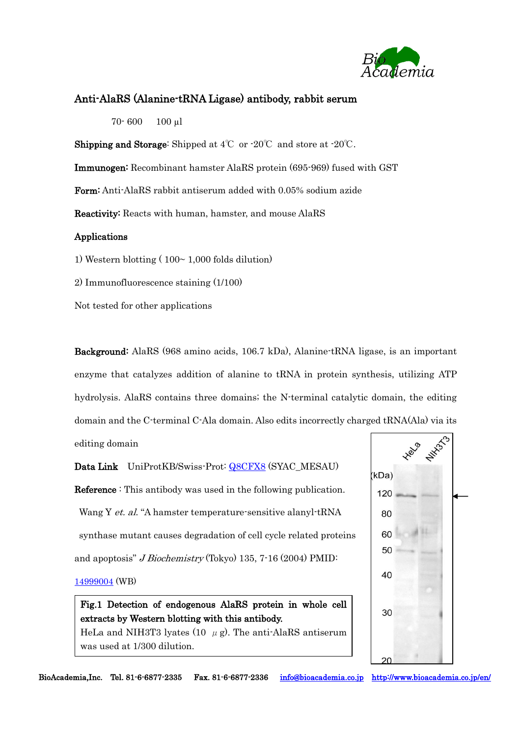

## Anti-AlaRS (Alanine-tRNA Ligase) antibody, rabbit serum

70- 600 100 µl

**Shipping and Storage:** Shipped at  $4^{\circ}\text{C}$  or  $-20^{\circ}\text{C}$  and store at  $-20^{\circ}\text{C}$ .

Immunogen: Recombinant hamster AlaRS protein (695-969) fused with GST

Form: Anti-AlaRS rabbit antiserum added with 0.05% sodium azide

Reactivity: Reacts with human, hamster, and mouse AlaRS

## Applications

1) Western blotting  $(100~ 1,000$  folds dilution

2) Immunofluorescence staining (1/100)

Not tested for other applications

Background: AlaRS (968 amino acids, 106.7 kDa), Alanine-tRNA ligase, is an important enzyme that catalyzes addition of alanine to tRNA in protein synthesis, utilizing ATP hydrolysis. AlaRS contains three domains; the N-terminal catalytic domain, the editing domain and the C-terminal C-Ala domain. Also edits incorrectly charged tRNA(Ala) via its editing domain

Data Link UniProtKB/Swiss-Prot: [Q8CFX8](http://www.uniprot.org/uniprot/Q8CFX8) (SYAC\_MESAU) Reference : This antibody was used in the following publication. Wang Y et. al. "A hamster temperature-sensitive alanyl-tRNA synthase mutant causes degradation of cell cycle related proteins and apoptosis" *J Biochemistry* (Tokyo) 135, 7-16 (2004) PMID:

## [14999004](http://www.ncbi.nlm.nih.gov/pubmed?term=PMID%3A%20%20%20%20%2014999004) (WB)

Fig.1 Detection of endogenous AlaRS protein in whole cell extracts by Western blotting with this antibody.

HeLa and NIH3T3 lyates (10  $\mu$  g). The anti-AlaRS antiserum was used at 1/300 dilution.



BioAcademia,Inc. Tel. 81-6-6877-2335 Fax. 81-6-6877-2336 [info@bioacademia.co.jp](mailto:info@bioacademia.co.jp) <http://www.bioacademia.co.jp/en/>